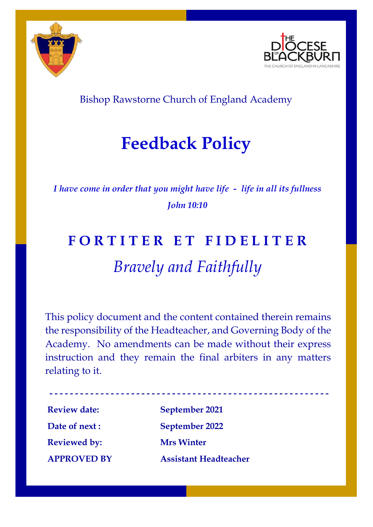



Bishop Rawstorne Church of England Academy

## **Feedback Policy**

*I have come in order that you might have life - life in all its fullness John 10:10*

# **F O R T I T E R E T F I D E L I T E R** *Bravely and Faithfully*

This policy document and the content contained therein remains the responsibility of the Headteacher, and Governing Body of the Academy. No amendments can be made without their express instruction and they remain the final arbiters in any matters relating to it.

**Review date: September 2021 Reviewed by: Mrs Winter**

**Date of next : September 2022 APPROVED BY Assistant Headteacher**

**- - - - - - - - - - - - - - - - - - - - - - - - - - - - - - - - - - - - - - - - - - - - - - - - - - - - - - -**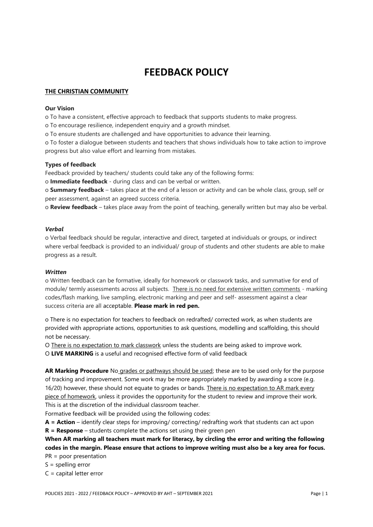### **FEEDBACK POLICY**

#### **THE CHRISTIAN COMMUNITY**

#### **Our Vision**

o To have a consistent, effective approach to feedback that supports students to make progress.

o To encourage resilience, independent enquiry and a growth mindset.

o To ensure students are challenged and have opportunities to advance their learning.

o To foster a dialogue between students and teachers that shows individuals how to take action to improve progress but also value effort and learning from mistakes.

#### **Types of feedback**

Feedback provided by teachers/ students could take any of the following forms:

o **Immediate feedback** - during class and can be verbal or written.

o **Summary feedback** – takes place at the end of a lesson or activity and can be whole class, group, self or peer assessment, against an agreed success criteria.

o **Review feedback** – takes place away from the point of teaching, generally written but may also be verbal.

#### *Verbal*

o Verbal feedback should be regular, interactive and direct, targeted at individuals or groups, or indirect where verbal feedback is provided to an individual/ group of students and other students are able to make progress as a result.

#### *Written*

o Written feedback can be formative, ideally for homework or classwork tasks, and summative for end of module/ termly assessments across all subjects. There is no need for extensive written comments - marking codes/flash marking, live sampling, electronic marking and peer and self- assessment against a clear success criteria are all acceptable. **Please mark in red pen.**

o There is no expectation for teachers to feedback on redrafted/ corrected work, as when students are provided with appropriate actions, opportunities to ask questions, modelling and scaffolding, this should not be necessary.

O There is no expectation to mark classwork unless the students are being asked to improve work. O **LIVE MARKING** is a useful and recognised effective form of valid feedback

AR Marking Procedure No grades or pathways should be used; these are to be used only for the purpose of tracking and improvement. Some work may be more appropriately marked by awarding a score (e.g. 16/20) however, these should not equate to grades or bands. There is no expectation to AR mark every piece of homework, unless it provides the opportunity for the student to review and improve their work. This is at the discretion of the individual classroom teacher.

Formative feedback will be provided using the following codes:

**A = Action** – identify clear steps for improving/ correcting/ redrafting work that students can act upon **R = Response** – students complete the actions set using their green pen

**When AR marking all teachers must mark for literacy, by circling the error and writing the following codes in the margin. Please ensure that actions to improve writing must also be a key area for focus.** PR = poor presentation

 $S =$  spelling error

C = capital letter error